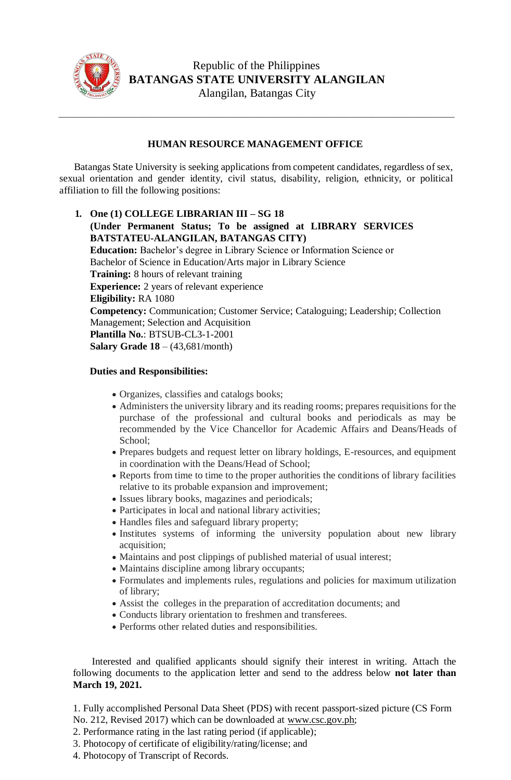

## Republic of the Philippines **BATANGAS STATE UNIVERSITY ALANGILAN** Alangilan, Batangas City

## **HUMAN RESOURCE MANAGEMENT OFFICE**

\_\_\_\_\_\_\_\_\_\_\_\_\_\_\_\_\_\_\_\_\_\_\_\_\_\_\_\_\_\_\_\_\_\_\_\_\_\_\_\_\_\_\_\_\_\_\_\_\_\_\_\_\_\_\_\_\_\_\_\_\_\_\_\_\_\_\_\_\_\_\_\_\_\_\_\_\_\_\_\_\_\_\_\_\_\_\_\_\_\_\_\_\_\_\_

Batangas State University is seeking applications from competent candidates, regardless of sex, sexual orientation and gender identity, civil status, disability, religion, ethnicity, or political affiliation to fill the following positions:

**1. One (1) COLLEGE LIBRARIAN III – SG 18 (Under Permanent Status; To be assigned at LIBRARY SERVICES BATSTATEU-ALANGILAN, BATANGAS CITY) Education:** Bachelor's degree in Library Science or Information Science or Bachelor of Science in Education/Arts major in Library Science **Training:** 8 hours of relevant training **Experience:** 2 years of relevant experience **Eligibility:** RA 1080 **Competency:** Communication; Customer Service; Cataloguing; Leadership; Collection Management; Selection and Acquisition **Plantilla No.**: BTSUB-CL3-1-2001 **Salary Grade 18** – (43,681/month)

## **Duties and Responsibilities:**

- Organizes, classifies and catalogs books;
- Administers the university library and its reading rooms; prepares requisitions for the purchase of the professional and cultural books and periodicals as may be recommended by the Vice Chancellor for Academic Affairs and Deans/Heads of School;
- Prepares budgets and request letter on library holdings, E-resources, and equipment in coordination with the Deans/Head of School;
- Reports from time to time to the proper authorities the conditions of library facilities relative to its probable expansion and improvement;
- Issues library books, magazines and periodicals;
- Participates in local and national library activities;
- Handles files and safeguard library property;
- Institutes systems of informing the university population about new library acquisition;
- Maintains and post clippings of published material of usual interest;
- Maintains discipline among library occupants;
- Formulates and implements rules, regulations and policies for maximum utilization of library;
- Assist the colleges in the preparation of accreditation documents; and
- Conducts library orientation to freshmen and transferees.
- Performs other related duties and responsibilities.

 Interested and qualified applicants should signify their interest in writing. Attach the following documents to the application letter and send to the address below **not later than March 19, 2021.**

1. Fully accomplished Personal Data Sheet (PDS) with recent passport-sized picture (CS Form No. 212, Revised 2017) which can be downloaded at [www.csc.gov.ph;](http://www.csc.gov.ph/)

2. Performance rating in the last rating period (if applicable);

- 3. Photocopy of certificate of eligibility/rating/license; and
- 4. Photocopy of Transcript of Records.